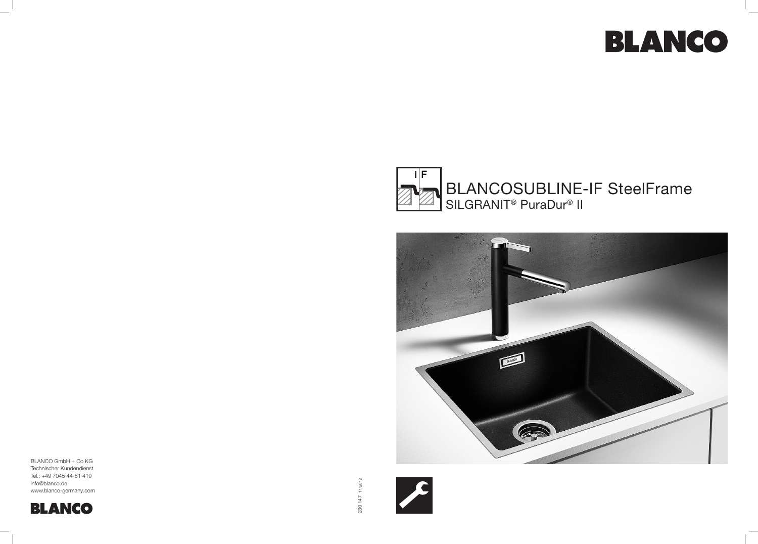BLANCO GmbH + Co KG Technischer Kundendienst Tel.: +49 7045 44-81 419 info@blanco.de www.blanco-germany.com



 $\blacktriangleright$ 



## BLANCOSUBLINE-IF SteelFrame